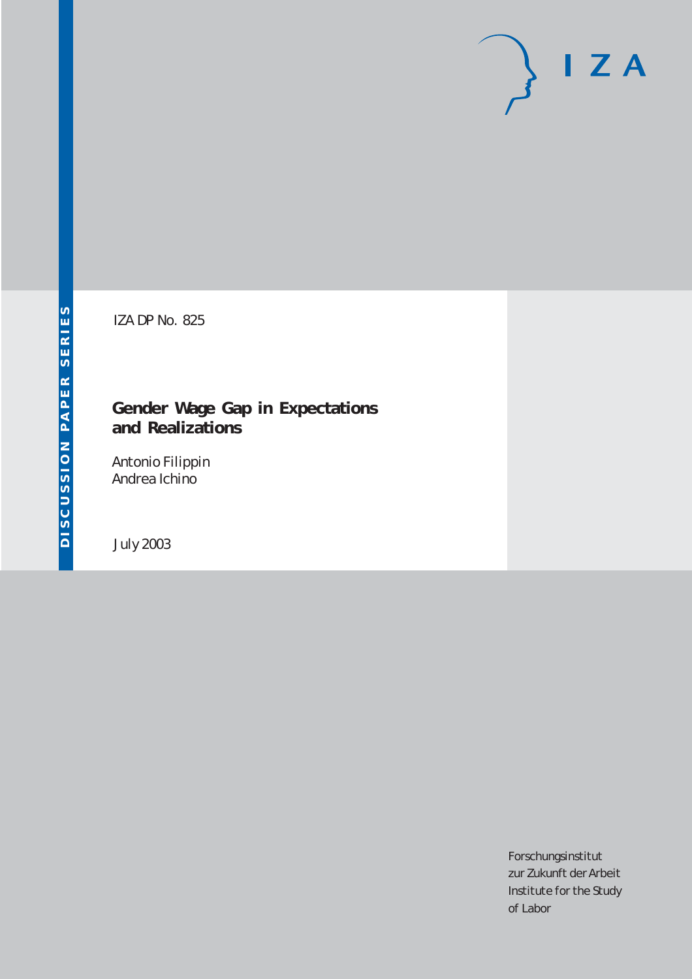# $I Z A$

IZA DP No. 825

## **Gender Wage Gap in Expectations and Realizations**

Antonio Filippin Andrea Ichino

July 2003

Forschungsinstitut zur Zukunft der Arbeit Institute for the Study of Labor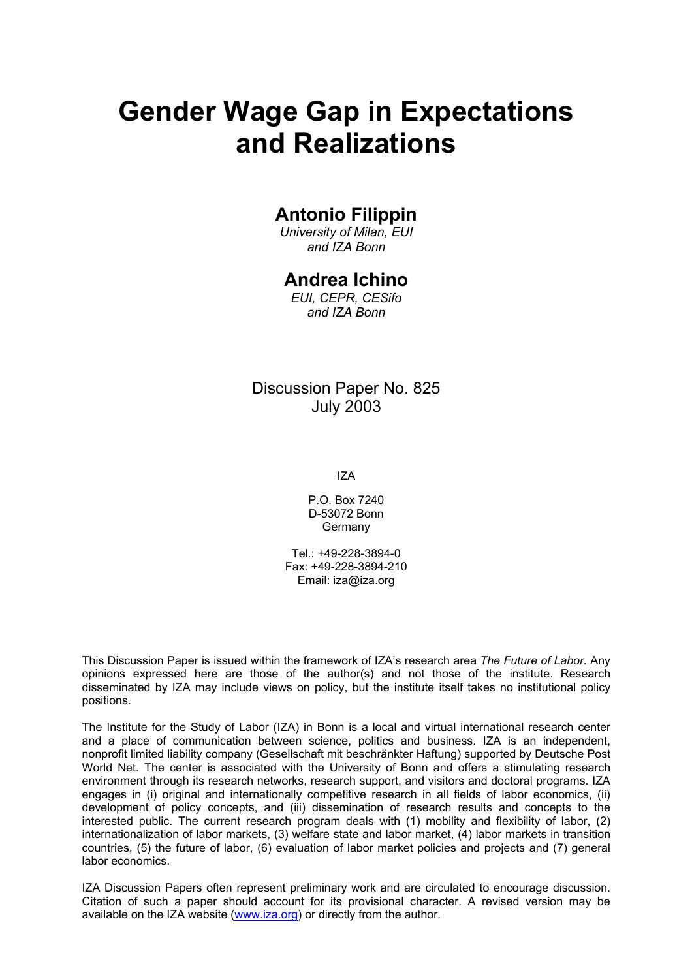# **Gender Wage Gap in Expectations and Realizations**

## **Antonio Filippin**

*University of Milan, EUI and IZA Bonn* 

## **Andrea Ichino**

*EUI, CEPR, CESifo and IZA Bonn* 

Discussion Paper No. 825 July 2003

IZA

P.O. Box 7240 D-53072 Bonn Germany

Tel.: +49-228-3894-0 Fax: +49-228-3894-210 Email: [iza@iza.org](mailto:iza@iza.org)

This Discussion Paper is issued within the framework of IZA's research area *The Future of Labor.* Any opinions expressed here are those of the author(s) and not those of the institute. Research disseminated by IZA may include views on policy, but the institute itself takes no institutional policy positions.

The Institute for the Study of Labor (IZA) in Bonn is a local and virtual international research center and a place of communication between science, politics and business. IZA is an independent, nonprofit limited liability company (Gesellschaft mit beschränkter Haftung) supported by Deutsche Post World Net. The center is associated with the University of Bonn and offers a stimulating research environment through its research networks, research support, and visitors and doctoral programs. IZA engages in (i) original and internationally competitive research in all fields of labor economics, (ii) development of policy concepts, and (iii) dissemination of research results and concepts to the interested public. The current research program deals with (1) mobility and flexibility of labor, (2) internationalization of labor markets, (3) welfare state and labor market, (4) labor markets in transition countries, (5) the future of labor, (6) evaluation of labor market policies and projects and (7) general labor economics.

IZA Discussion Papers often represent preliminary work and are circulated to encourage discussion. Citation of such a paper should account for its provisional character. A revised version may be available on the IZA website ([www.iza.org](http://www.iza.org/)) or directly from the author.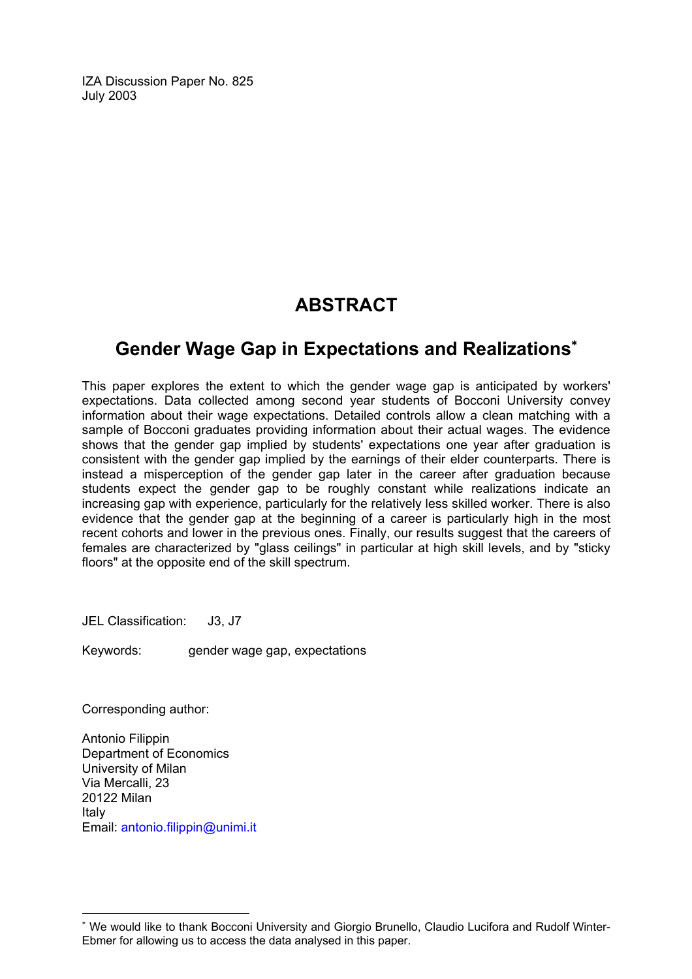IZA Discussion Paper No. 825 July 2003

## **ABSTRACT**

## **Gender Wage Gap in Expectations and Realizations**[∗](#page-2-0)

This paper explores the extent to which the gender wage gap is anticipated by workers' expectations. Data collected among second year students of Bocconi University convey information about their wage expectations. Detailed controls allow a clean matching with a sample of Bocconi graduates providing information about their actual wages. The evidence shows that the gender gap implied by students' expectations one year after graduation is consistent with the gender gap implied by the earnings of their elder counterparts. There is instead a misperception of the gender gap later in the career after graduation because students expect the gender gap to be roughly constant while realizations indicate an increasing gap with experience, particularly for the relatively less skilled worker. There is also evidence that the gender gap at the beginning of a career is particularly high in the most recent cohorts and lower in the previous ones. Finally, our results suggest that the careers of females are characterized by "glass ceilings" in particular at high skill levels, and by "sticky floors" at the opposite end of the skill spectrum.

JEL Classification: J3, J7

Keywords: gender wage gap, expectations

Corresponding author:

 $\overline{a}$ 

Antonio Filippin Department of Economics University of Milan Via Mercalli, 23 20122 Milan Italy Email: [antonio.filippin@unimi.it](mailto:Antonio.filippin@unimi.it)

<span id="page-2-0"></span><sup>∗</sup> We would like to thank Bocconi University and Giorgio Brunello, Claudio Lucifora and Rudolf Winter-Ebmer for allowing us to access the data analysed in this paper.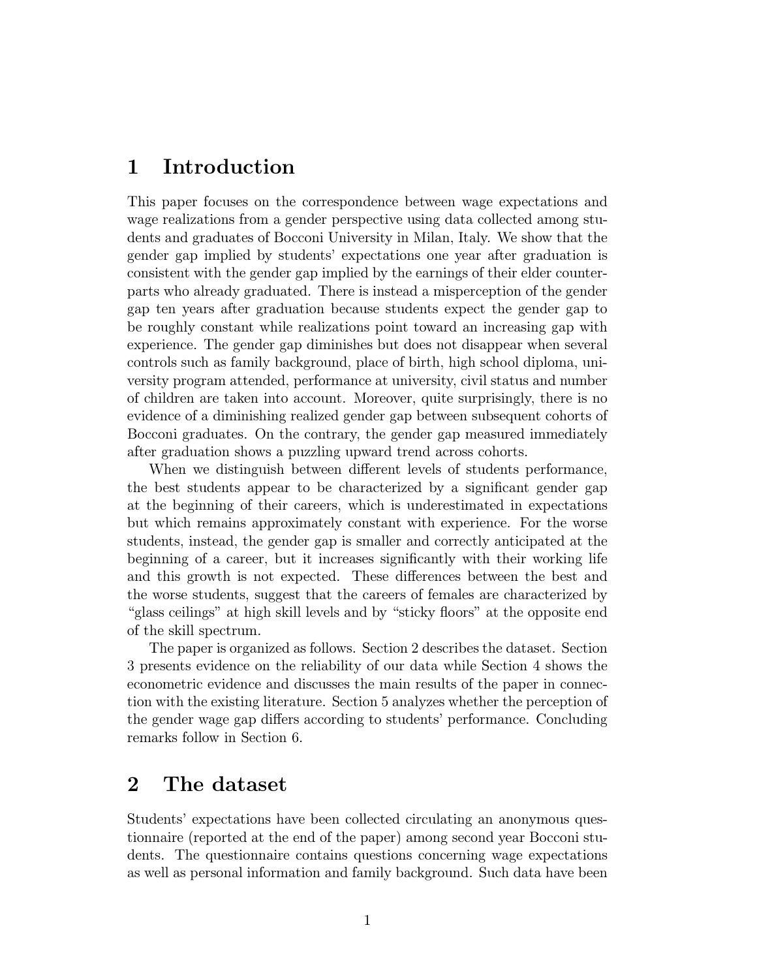#### Introduction 1

This paper focuses on the correspondence between wage expectations and wage realizations from a gender perspective using data collected among students and graduates of Bocconi University in Milan, Italy. We show that the gender gap implied by students' expectations one year after graduation is consistent with the gender gap implied by the earnings of their elder counterparts who already graduated. There is instead a misperception of the gender gap ten years after graduation because students expect the gender gap to be roughly constant while realizations point toward an increasing gap with experience. The gender gap diminishes but does not disappear when several controls such as family background, place of birth, high school diploma, university program attended, performance at university, civil status and number of children are taken into account. Moreover, quite surprisingly, there is no evidence of a diminishing realized gender gap between subsequent cohorts of Bocconi graduates. On the contrary, the gender gap measured immediately after graduation shows a puzzling upward trend across cohorts.

When we distinguish between different levels of students performance, the best students appear to be characterized by a significant gender gap at the beginning of their careers, which is underestimated in expectations but which remains approximately constant with experience. For the worse students, instead, the gender gap is smaller and correctly anticipated at the beginning of a career, but it increases significantly with their working life and this growth is not expected. These differences between the best and the worse students, suggest that the careers of females are characterized by "glass ceilings" at high skill levels and by "sticky floors" at the opposite end of the skill spectrum.

The paper is organized as follows. Section 2 describes the dataset. Section 3 presents evidence on the reliability of our data while Section 4 shows the econometric evidence and discusses the main results of the paper in connection with the existing literature. Section 5 analyzes whether the perception of the gender wage gap differs according to students' performance. Concluding remarks follow in Section 6.

#### $\overline{2}$ The dataset

Students' expectations have been collected circulating an anonymous questionnaire (reported at the end of the paper) among second year Bocconi students. The questionnaire contains questions concerning wage expectations as well as personal information and family background. Such data have been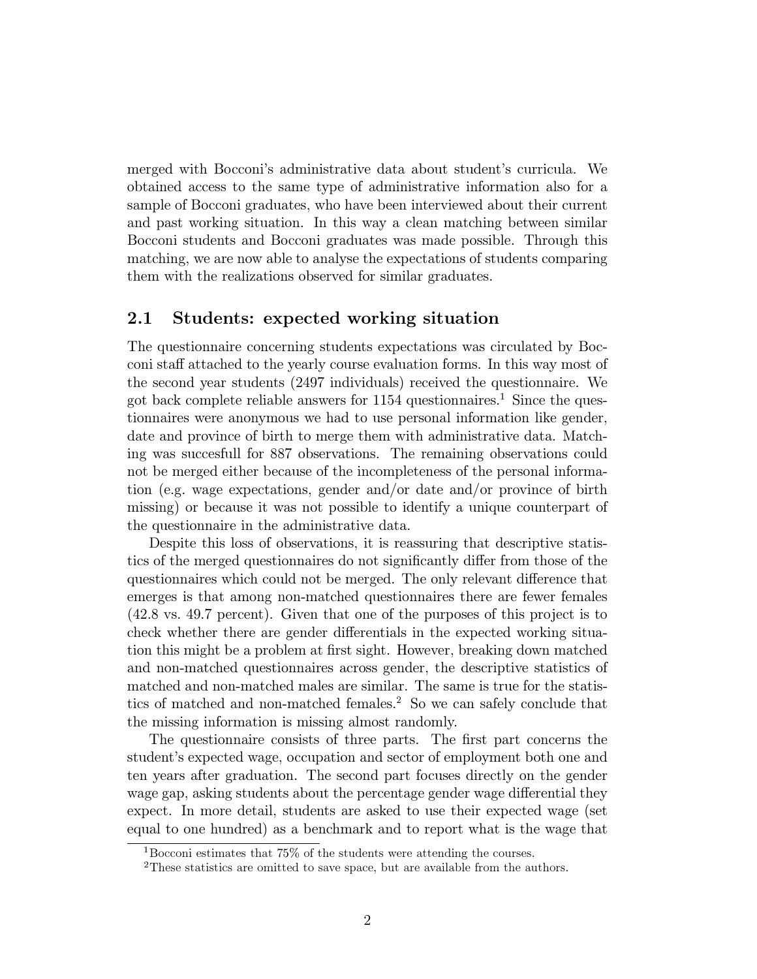merged with Bocconi's administrative data about student's curricula. We obtained access to the same type of administrative information also for a sample of Bocconi graduates, who have been interviewed about their current and past working situation. In this way a clean matching between similar Bocconi students and Bocconi graduates was made possible. Through this matching, we are now able to analyse the expectations of students comparing them with the realizations observed for similar graduates.

#### $2.1$ Students: expected working situation

The questionnaire concerning students expectations was circulated by Bocconi staff attached to the yearly course evaluation forms. In this way most of the second year students (2497 individuals) received the questionnaire. We got back complete reliable answers for 1154 questionnaires.<sup>1</sup> Since the questionnaires were anonymous we had to use personal information like gender, date and province of birth to merge them with administrative data. Matching was succesfull for 887 observations. The remaining observations could not be merged either because of the incompleteness of the personal information (e.g. wage expectations, gender and/or date and/or province of birth missing) or because it was not possible to identify a unique counterpart of the question aire in the administrative data.

Despite this loss of observations, it is reassuring that descriptive statistics of the merged questionnaires do not significantly differ from those of the questionnaires which could not be merged. The only relevant difference that emerges is that among non-matched questionnaires there are fewer females (42.8 vs. 49.7 percent). Given that one of the purposes of this project is to check whether there are gender differentials in the expected working situation this might be a problem at first sight. However, breaking down matched and non-matched questionnaires across gender, the descriptive statistics of matched and non-matched males are similar. The same is true for the statistics of matched and non-matched females.<sup>2</sup> So we can safely conclude that the missing information is missing almost randomly.

The questionnaire consists of three parts. The first part concerns the student's expected wage, occupation and sector of employment both one and ten years after graduation. The second part focuses directly on the gender wage gap, asking students about the percentage gender wage differential they expect. In more detail, students are asked to use their expected wage (set equal to one hundred) as a benchmark and to report what is the wage that

<sup>&</sup>lt;sup>1</sup>Bocconi estimates that  $75\%$  of the students were attending the courses.

<sup>&</sup>lt;sup>2</sup>These statistics are omitted to save space, but are available from the authors.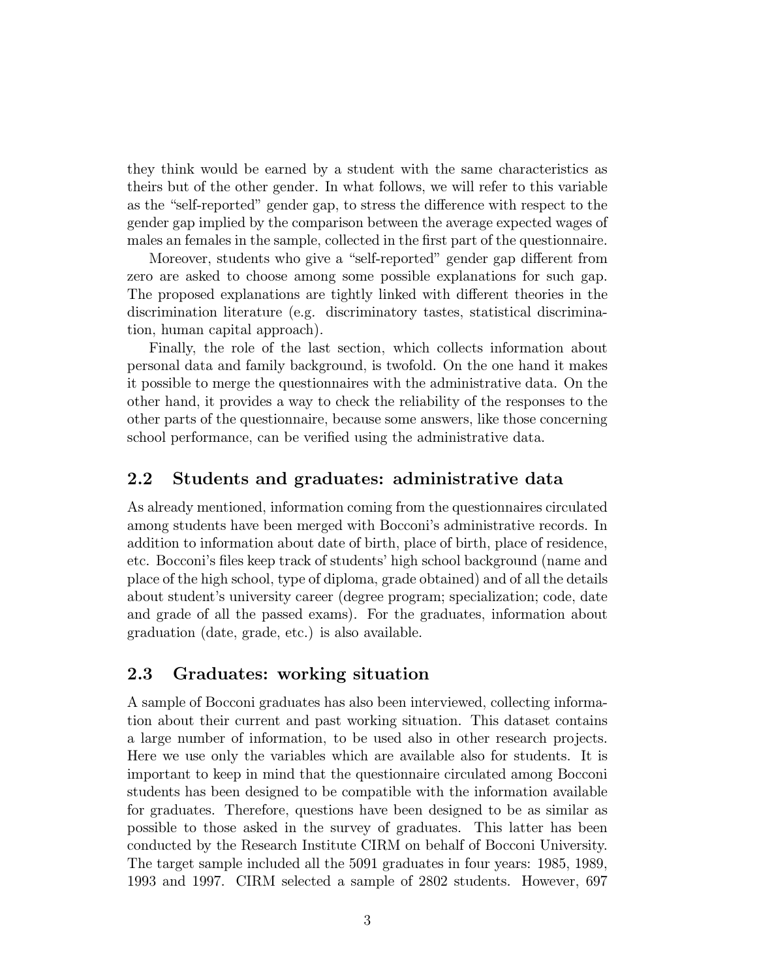they think would be earned by a student with the same characteristics as theirs but of the other gender. In what follows, we will refer to this variable as the "self-reported" gender gap, to stress the difference with respect to the gender gap implied by the comparison between the average expected wages of males an females in the sample, collected in the first part of the questionnaire.

Moreover, students who give a "self-reported" gender gap different from zero are asked to choose among some possible explanations for such gap. The proposed explanations are tightly linked with different theories in the discrimination literature (e.g. discriminatory tastes, statistical discrimination, human capital approach).

Finally, the role of the last section, which collects information about personal data and family background, is twofold. On the one hand it makes it possible to merge the questionnaires with the administrative data. On the other hand, it provides a way to check the reliability of the responses to the other parts of the questionnaire, because some answers, like those concerning school performance, can be verified using the administrative data.

#### $2.2$ Students and graduates: administrative data

As already mentioned, information coming from the questionnaires circulated among students have been merged with Bocconi's administrative records. In addition to information about date of birth, place of birth, place of residence, etc. Bocconi's files keep track of students' high school background (name and place of the high school, type of diploma, grade obtained) and of all the details about student's university career (degree program; specialization; code, date and grade of all the passed exams). For the graduates, information about graduation (date, grade, etc.) is also available.

#### 2.3 Graduates: working situation

A sample of Bocconi graduates has also been interviewed, collecting information about their current and past working situation. This dataset contains a large number of information, to be used also in other research projects. Here we use only the variables which are available also for students. It is important to keep in mind that the questionnaire circulated among Bocconi students has been designed to be compatible with the information available for graduates. Therefore, questions have been designed to be as similar as possible to those asked in the survey of graduates. This latter has been conducted by the Research Institute CIRM on behalf of Bocconi University. The target sample included all the 5091 graduates in four years: 1985, 1989, 1993 and 1997. CIRM selected a sample of 2802 students. However, 697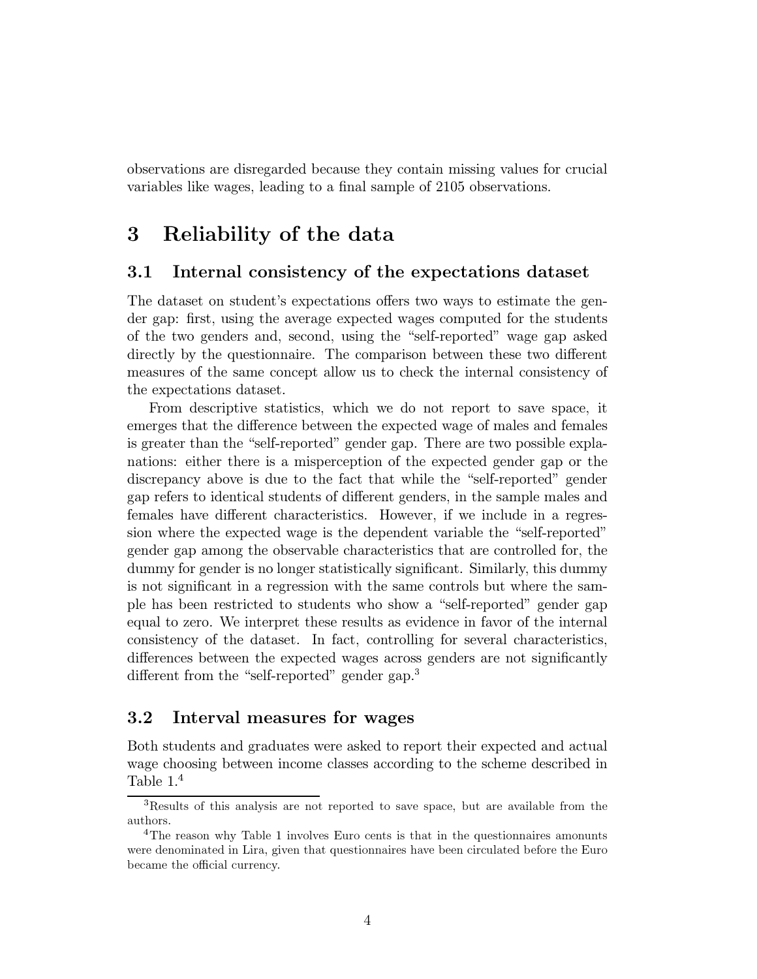observations are disregarded because they contain missing values for crucial variables like wages, leading to a final sample of 2105 observations.

#### Reliability of the data 3

#### 3.1 Internal consistency of the expectations dataset

The dataset on student's expectations offers two ways to estimate the gender gap: first, using the average expected wages computed for the students of the two genders and, second, using the "self-reported" wage gap asked directly by the questionnaire. The comparison between these two different measures of the same concept allow us to check the internal consistency of the expectations dataset.

From descriptive statistics, which we do not report to save space, it emerges that the difference between the expected wage of males and females is greater than the "self-reported" gender gap. There are two possible explanations: either there is a misperception of the expected gender gap or the discrepancy above is due to the fact that while the "self-reported" gender gap refers to identical students of different genders, in the sample males and females have different characteristics. However, if we include in a regression where the expected wage is the dependent variable the "self-reported" gender gap among the observable characteristics that are controlled for, the dummy for gender is no longer statistically significant. Similarly, this dummy is not significant in a regression with the same controls but where the sample has been restricted to students who show a "self-reported" gender gap equal to zero. We interpret these results as evidence in favor of the internal consistency of the dataset. In fact, controlling for several characteristics, differences between the expected wages across genders are not significantly different from the "self-reported" gender gap.<sup>3</sup>

#### $3.2$ Interval measures for wages

Both students and graduates were asked to report their expected and actual wage choosing between income classes according to the scheme described in Table  $1<sup>4</sup>$ 

<sup>&</sup>lt;sup>3</sup>Results of this analysis are not reported to save space, but are available from the authors.

<sup>&</sup>lt;sup>4</sup>The reason why Table 1 involves Euro cents is that in the questionnaires amonunts were denominated in Lira, given that questionnaires have been circulated before the Euro became the official currency.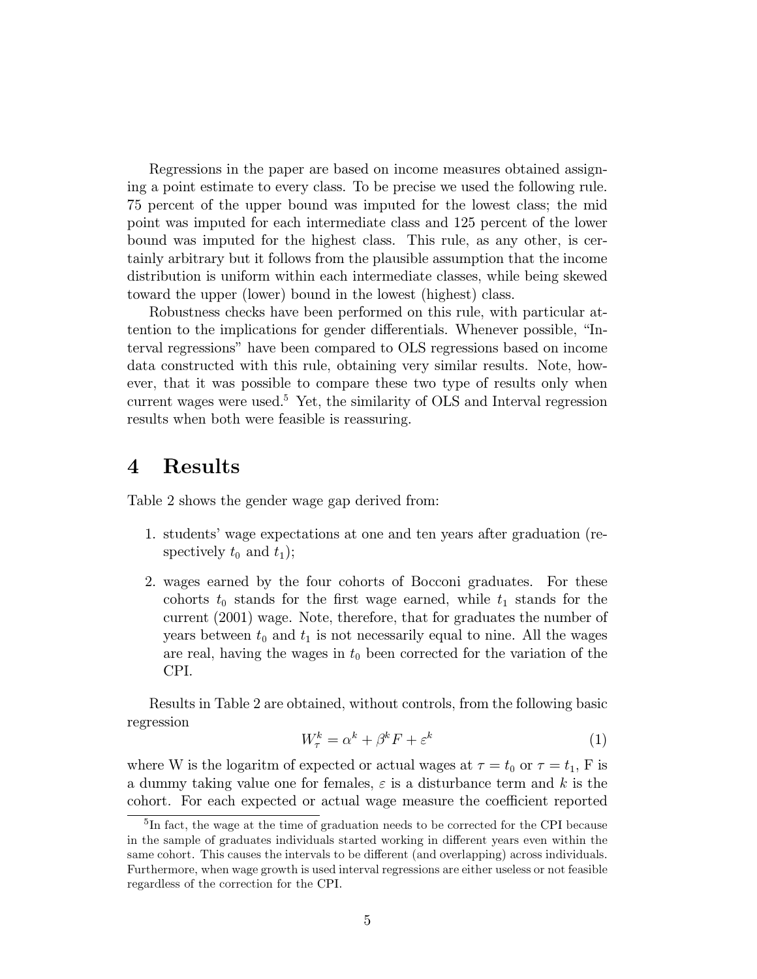Regressions in the paper are based on income measures obtained assigning a point estimate to every class. To be precise we used the following rule. 75 percent of the upper bound was imputed for the lowest class; the mid point was imputed for each intermediate class and 125 percent of the lower bound was imputed for the highest class. This rule, as any other, is certainly arbitrary but it follows from the plausible assumption that the income distribution is uniform within each intermediate classes, while being skewed toward the upper (lower) bound in the lowest (highest) class.

Robustness checks have been performed on this rule, with particular attention to the implications for gender differentials. Whenever possible, "Interval regressions" have been compared to OLS regressions based on income data constructed with this rule, obtaining very similar results. Note, however, that it was possible to compare these two type of results only when current wages were used.<sup>5</sup> Yet, the similarity of OLS and Interval regression results when both were feasible is reassuring.

#### **Results**  $\boldsymbol{4}$

Table 2 shows the gender wage gap derived from:

- 1. students' wage expectations at one and ten years after graduation (respectively  $t_0$  and  $t_1$ ;
- 2. wages earned by the four cohorts of Bocconi graduates. For these cohorts  $t_0$  stands for the first wage earned, while  $t_1$  stands for the current (2001) wage. Note, therefore, that for graduates the number of years between  $t_0$  and  $t_1$  is not necessarily equal to nine. All the wages are real, having the wages in  $t_0$  been corrected for the variation of the CPI.

Results in Table 2 are obtained, without controls, from the following basic regression

$$
W_{\tau}^{k} = \alpha^{k} + \beta^{k} F + \varepsilon^{k} \tag{1}
$$

where W is the logaritm of expected or actual wages at  $\tau = t_0$  or  $\tau = t_1$ , F is a dummy taking value one for females,  $\varepsilon$  is a disturbance term and k is the cohort. For each expected or actual wage measure the coefficient reported

 ${}^{5}$ In fact, the wage at the time of graduation needs to be corrected for the CPI because in the sample of graduates individuals started working in different years even within the same cohort. This causes the intervals to be different (and overlapping) across individuals. Furthermore, when wage growth is used interval regressions are either useless or not feasible regardless of the correction for the CPI.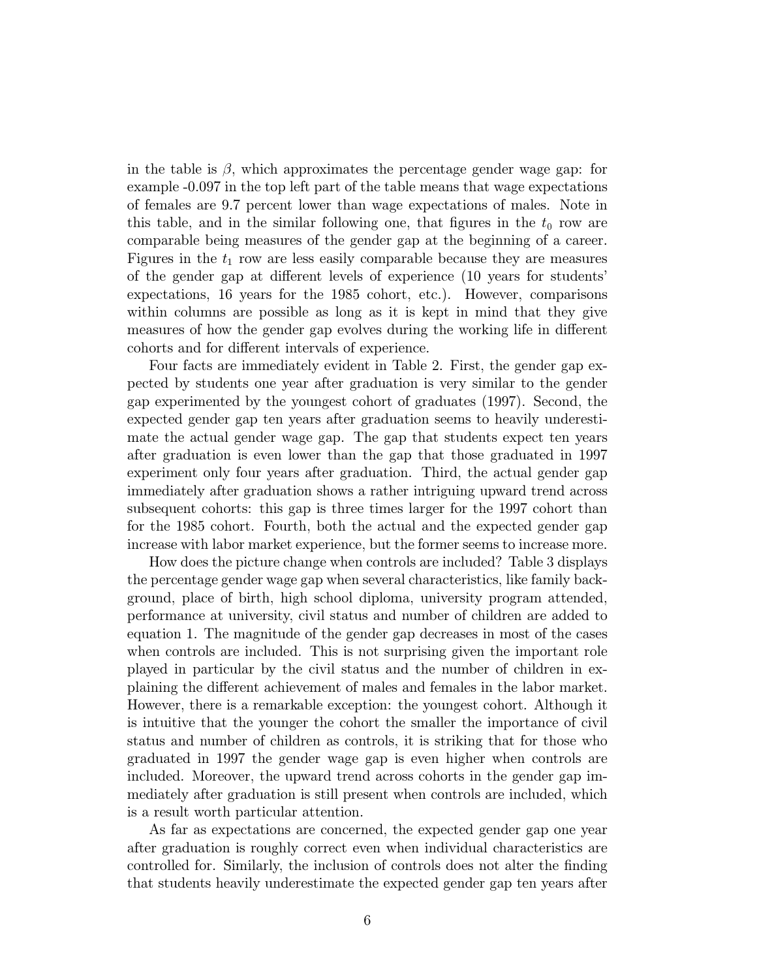in the table is  $\beta$ , which approximates the percentage gender wage gap: for example -0.097 in the top left part of the table means that wage expectations of females are 9.7 percent lower than wage expectations of males. Note in this table, and in the similar following one, that figures in the  $t_0$  row are comparable being measures of the gender gap at the beginning of a career. Figures in the  $t_1$  row are less easily comparable because they are measures of the gender gap at different levels of experience (10 years for students' expectations, 16 years for the 1985 cohort, etc.). However, comparisons within columns are possible as long as it is kept in mind that they give measures of how the gender gap evolves during the working life in different cohorts and for different intervals of experience.

Four facts are immediately evident in Table 2. First, the gender gap expected by students one year after graduation is very similar to the gender gap experimented by the youngest cohort of graduates (1997). Second, the expected gender gap ten years after graduation seems to heavily underestimate the actual gender wage gap. The gap that students expect ten years after graduation is even lower than the gap that those graduated in 1997 experiment only four years after graduation. Third, the actual gender gap immediately after graduation shows a rather intriguing upward trend across subsequent cohorts: this gap is three times larger for the 1997 cohort than for the 1985 cohort. Fourth, both the actual and the expected gender gap increase with labor market experience, but the former seems to increase more.

How does the picture change when controls are included? Table 3 displays the percentage gender wage gap when several characteristics, like family background, place of birth, high school diploma, university program attended, performance at university, civil status and number of children are added to equation 1. The magnitude of the gender gap decreases in most of the cases when controls are included. This is not surprising given the important role played in particular by the civil status and the number of children in explaining the different achievement of males and females in the labor market. However, there is a remarkable exception: the youngest cohort. Although it is intuitive that the younger the cohort the smaller the importance of civil status and number of children as controls, it is striking that for those who graduated in 1997 the gender wage gap is even higher when controls are included. Moreover, the upward trend across cohorts in the gender gap immediately after graduation is still present when controls are included, which is a result worth particular attention.

As far as expectations are concerned, the expected gender gap one year after graduation is roughly correct even when individual characteristics are controlled for. Similarly, the inclusion of controls does not alter the finding that students heavily underestimate the expected gender gap ten years after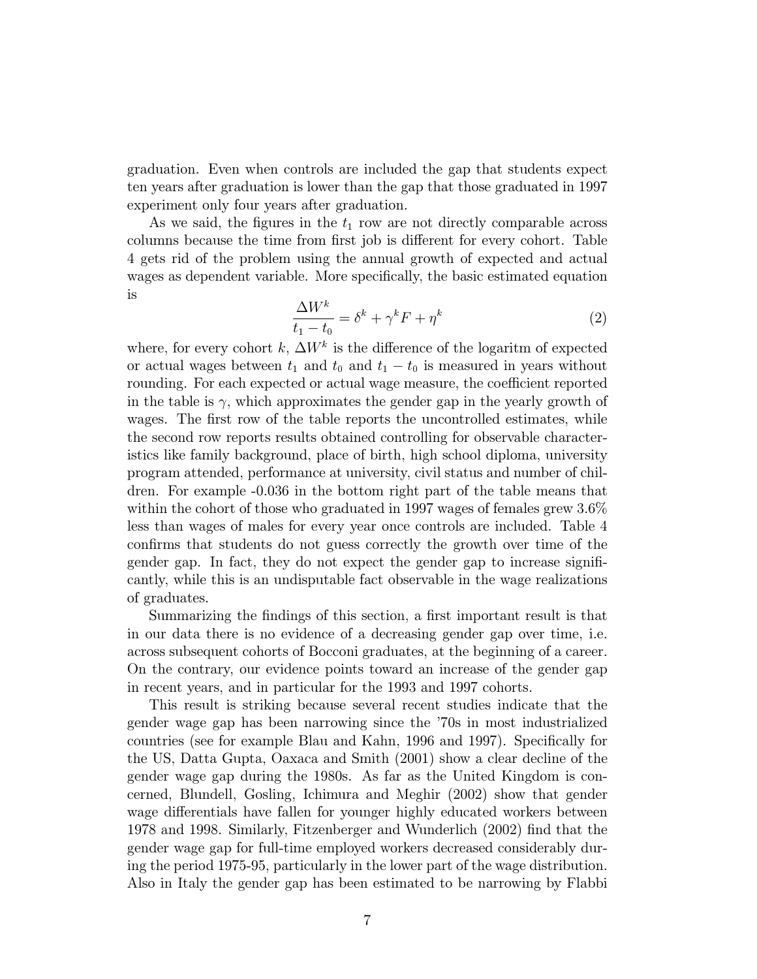graduation. Even when controls are included the gap that students expect ten years after graduation is lower than the gap that those graduated in 1997 experiment only four years after graduation.

As we said, the figures in the  $t_1$  row are not directly comparable across columns because the time from first job is different for every cohort. Table 4 gets rid of the problem using the annual growth of expected and actual wages as dependent variable. More specifically, the basic estimated equation *is* 

$$
\frac{\Delta W^k}{t_1 - t_0} = \delta^k + \gamma^k F + \eta^k \tag{2}
$$

where, for every cohort k,  $\Delta W^k$  is the difference of the logaritm of expected or actual wages between  $t_1$  and  $t_0$  and  $t_1 - t_0$  is measured in years without rounding. For each expected or actual wage measure, the coefficient reported in the table is  $\gamma$ , which approximates the gender gap in the yearly growth of wages. The first row of the table reports the uncontrolled estimates, while the second row reports results obtained controlling for observable characteristics like family background, place of birth, high school diploma, university program attended, performance at university, civil status and number of children. For example -0.036 in the bottom right part of the table means that within the cohort of those who graduated in 1997 wages of females grew  $3.6\%$ less than wages of males for every year once controls are included. Table 4 confirms that students do not guess correctly the growth over time of the gender gap. In fact, they do not expect the gender gap to increase significantly, while this is an undisputable fact observable in the wage realizations of graduates.

Summarizing the findings of this section, a first important result is that in our data there is no evidence of a decreasing gender gap over time, i.e. across subsequent cohorts of Bocconi graduates, at the beginning of a career. On the contrary, our evidence points toward an increase of the gender gap in recent years, and in particular for the 1993 and 1997 cohorts.

This result is striking because several recent studies indicate that the gender wage gap has been narrowing since the '70s in most industrialized countries (see for example Blau and Kahn, 1996 and 1997). Specifically for the US, Datta Gupta, Oaxaca and Smith (2001) show a clear decline of the gender wage gap during the 1980s. As far as the United Kingdom is concerned, Blundell, Gosling, Ichimura and Meghir (2002) show that gender wage differentials have fallen for younger highly educated workers between 1978 and 1998. Similarly, Fitzenberger and Wunderlich (2002) find that the gender wage gap for full-time employed workers decreased considerably during the period 1975-95, particularly in the lower part of the wage distribution. Also in Italy the gender gap has been estimated to be narrowing by Flabbi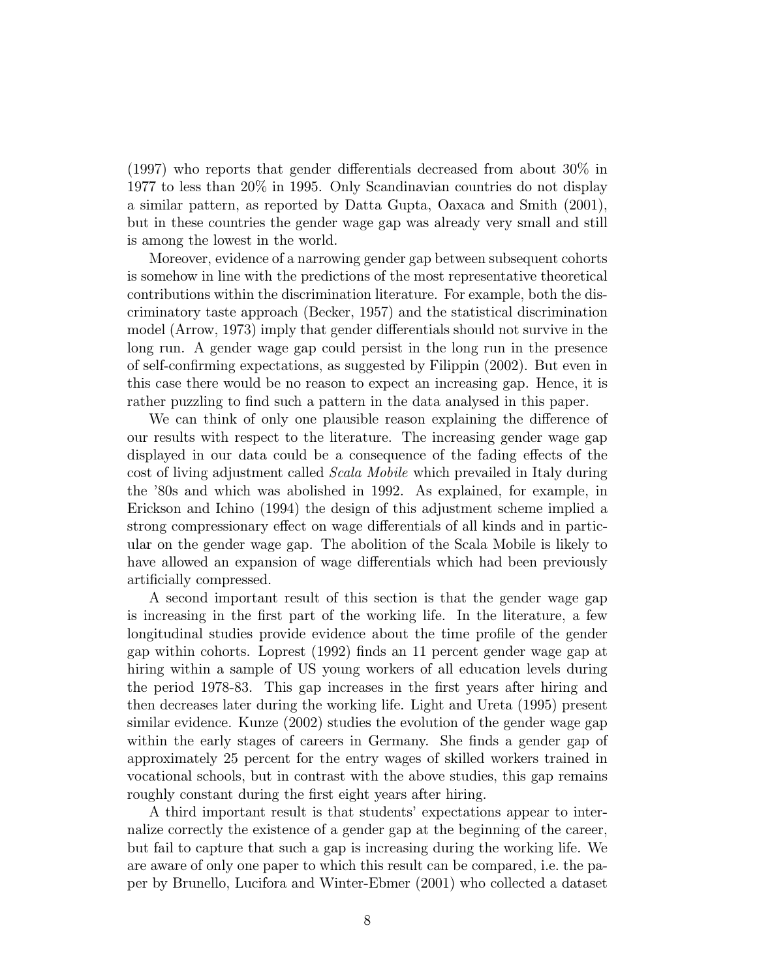$(1997)$  who reports that gender differentials decreased from about 30% in 1977 to less than 20% in 1995. Only Scandinavian countries do not display a similar pattern, as reported by Datta Gupta, Oaxaca and Smith (2001), but in these countries the gender wage gap was already very small and still is among the lowest in the world.

Moreover, evidence of a narrowing gender gap between subsequent cohorts is somehow in line with the predictions of the most representative theoretical contributions within the discrimination literature. For example, both the discriminatory taste approach (Becker, 1957) and the statistical discrimination model (Arrow, 1973) imply that gender differentials should not survive in the long run. A gender wage gap could persist in the long run in the presence of self-confirming expectations, as suggested by Filippin (2002). But even in this case there would be no reason to expect an increasing gap. Hence, it is rather puzzling to find such a pattern in the data analysed in this paper.

We can think of only one plausible reason explaining the difference of our results with respect to the literature. The increasing gender wage gap displayed in our data could be a consequence of the fading effects of the cost of living adjustment called *Scala Mobile* which prevailed in Italy during the '80s and which was abolished in 1992. As explained, for example, in Erickson and Ichino (1994) the design of this adjustment scheme implied a strong compressionary effect on wage differentials of all kinds and in particular on the gender wage gap. The abolition of the Scala Mobile is likely to have allowed an expansion of wage differentials which had been previously artificially compressed.

A second important result of this section is that the gender wage gap is increasing in the first part of the working life. In the literature, a few longitudinal studies provide evidence about the time profile of the gender gap within cohorts. Loprest (1992) finds an 11 percent gender wage gap at hiring within a sample of US young workers of all education levels during the period 1978-83. This gap increases in the first years after hiring and then decreases later during the working life. Light and Ureta (1995) present similar evidence. Kunze (2002) studies the evolution of the gender wage gap within the early stages of careers in Germany. She finds a gender gap of approximately 25 percent for the entry wages of skilled workers trained in vocational schools, but in contrast with the above studies, this gap remains roughly constant during the first eight years after hiring.

A third important result is that students' expectations appear to internalize correctly the existence of a gender gap at the beginning of the career, but fail to capture that such a gap is increasing during the working life. We are aware of only one paper to which this result can be compared, i.e. the paper by Brunello, Lucifora and Winter-Ebmer (2001) who collected a dataset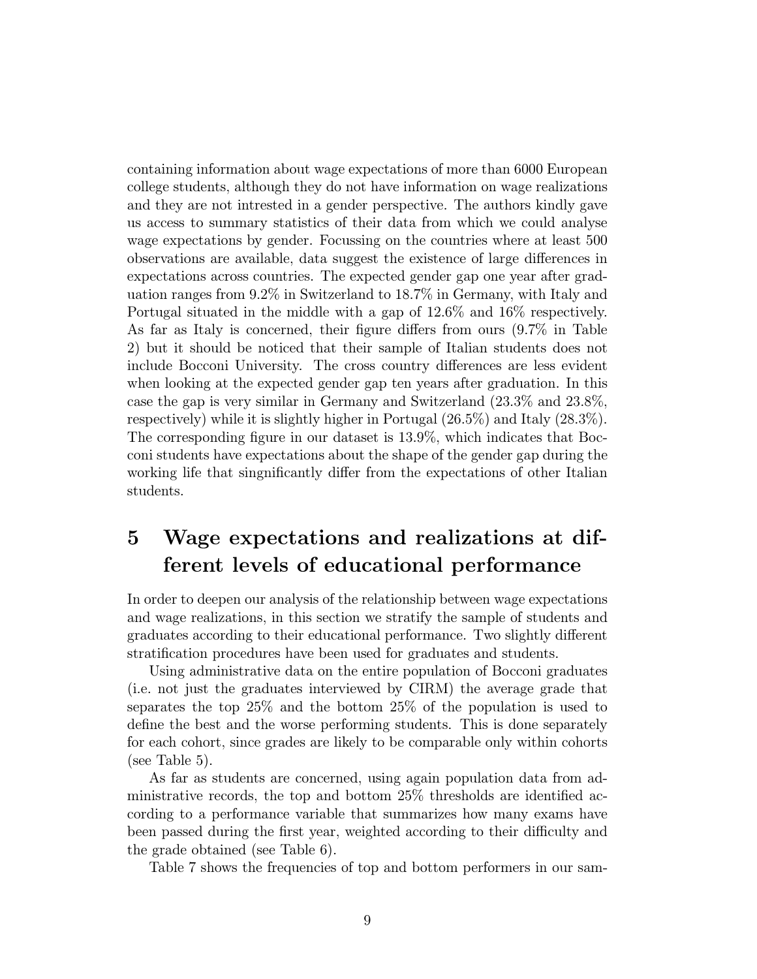containing information about wage expectations of more than 6000 European college students, although they do not have information on wage realizations and they are not intrested in a gender perspective. The authors kindly gave us access to summary statistics of their data from which we could analyse wage expectations by gender. Focussing on the countries where at least 500 observations are available, data suggest the existence of large differences in expectations across countries. The expected gender gap one year after graduation ranges from  $9.2\%$  in Switzerland to  $18.7\%$  in Germany, with Italy and Portugal situated in the middle with a gap of  $12.6\%$  and  $16\%$  respectively. As far as Italy is concerned, their figure differs from ours  $(9.7\%$  in Table 2) but it should be noticed that their sample of Italian students does not include Bocconi University. The cross country differences are less evident when looking at the expected gender gap ten years after graduation. In this case the gap is very similar in Germany and Switzerland  $(23.3\%$  and  $23.8\%$ , respectively) while it is slightly higher in Portugal  $(26.5\%)$  and Italy  $(28.3\%)$ . The corresponding figure in our dataset is 13.9%, which indicates that Bocconi students have expectations about the shape of the gender gap during the working life that singuificantly differ from the expectations of other Italian students.

### Wage expectations and realizations at dif- $\bf{5}$ ferent levels of educational performance

In order to deepen our analysis of the relationship between wage expectations and wage realizations, in this section we stratify the sample of students and graduates according to their educational performance. Two slightly different stratification procedures have been used for graduates and students.

Using administrative data on the entire population of Bocconi graduates (i.e. not just the graduates interviewed by CIRM) the average grade that separates the top  $25\%$  and the bottom  $25\%$  of the population is used to define the best and the worse performing students. This is done separately for each cohort, since grades are likely to be comparable only within cohorts (see Table 5).

As far as students are concerned, using again population data from administrative records, the top and bottom 25% thresholds are identified according to a performance variable that summarizes how many exams have been passed during the first year, weighted according to their difficulty and the grade obtained (see Table 6).

Table 7 shows the frequencies of top and bottom performers in our sam-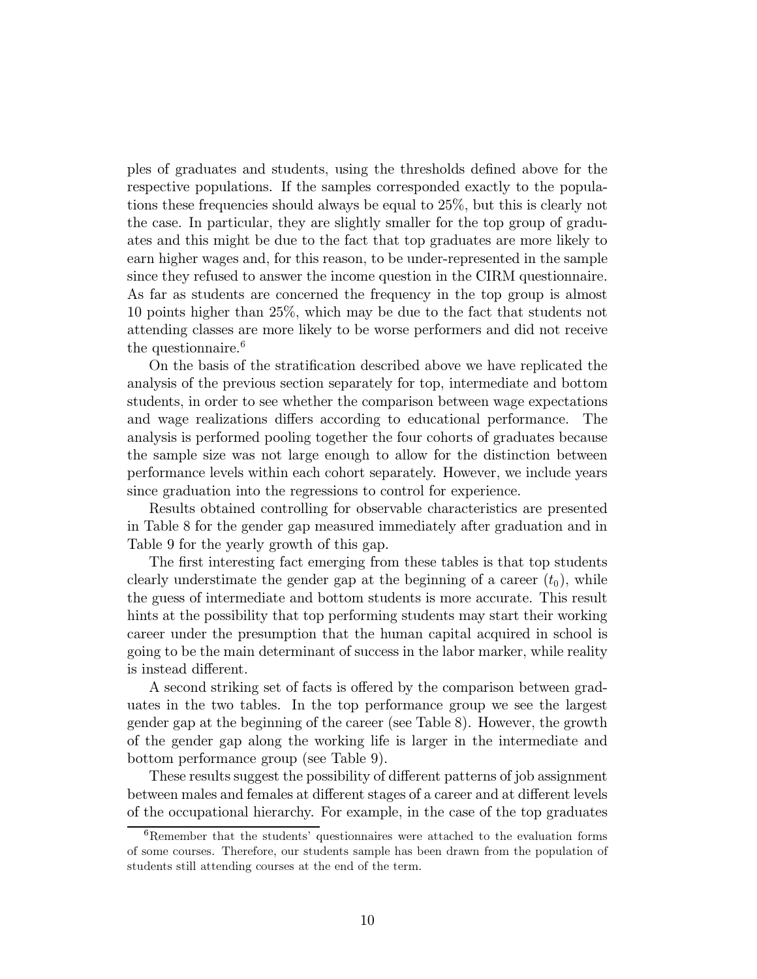ples of graduates and students, using the thresholds defined above for the respective populations. If the samples corresponded exactly to the populations these frequencies should always be equal to 25%, but this is clearly not the case. In particular, they are slightly smaller for the top group of graduates and this might be due to the fact that top graduates are more likely to earn higher wages and, for this reason, to be under-represented in the sample since they refused to answer the income question in the CIRM questionnaire. As far as students are concerned the frequency in the top group is almost 10 points higher than  $25\%$ , which may be due to the fact that students not attending classes are more likely to be worse performers and did not receive the questionnaire.<sup>6</sup>

On the basis of the stratification described above we have replicated the analysis of the previous section separately for top, intermediate and bottom students, in order to see whether the comparison between wage expectations and wage realizations differs according to educational performance. The analysis is performed pooling together the four cohorts of graduates because the sample size was not large enough to allow for the distinction between performance levels within each cohort separately. However, we include years since graduation into the regressions to control for experience.

Results obtained controlling for observable characteristics are presented in Table 8 for the gender gap measured immediately after graduation and in Table 9 for the yearly growth of this gap.

The first interesting fact emerging from these tables is that top students clearly understimate the gender gap at the beginning of a career  $(t_0)$ , while the guess of intermediate and bottom students is more accurate. This result hints at the possibility that top performing students may start their working career under the presumption that the human capital acquired in school is going to be the main determinant of success in the labor marker, while reality is instead different.

A second striking set of facts is offered by the comparison between graduates in the two tables. In the top performance group we see the largest gender gap at the beginning of the career (see Table 8). However, the growth of the gender gap along the working life is larger in the intermediate and bottom performance group (see Table 9).

These results suggest the possibility of different patterns of job assignment between males and females at different stages of a career and at different levels of the occupational hierarchy. For example, in the case of the top graduates

 ${}^{6}$ Remember that the students' questionnaires were attached to the evaluation forms of some courses. Therefore, our students sample has been drawn from the population of students still attending courses at the end of the term.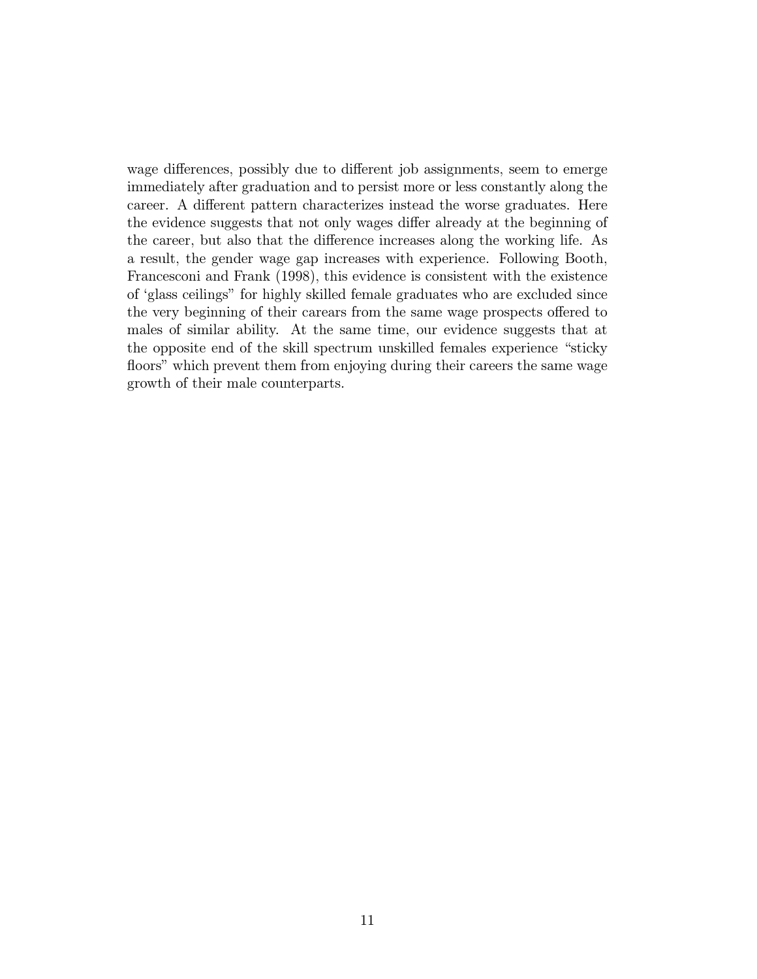wage differences, possibly due to different job assignments, seem to emerge immediately after graduation and to persist more or less constantly along the career. A different pattern characterizes instead the worse graduates. Here the evidence suggests that not only wages differ already at the beginning of the career, but also that the difference increases along the working life. As a result, the gender wage gap increases with experience. Following Booth, Francesconi and Frank (1998), this evidence is consistent with the existence of 'glass ceilings" for highly skilled female graduates who are excluded since the very beginning of their carears from the same wage prospects offered to males of similar ability. At the same time, our evidence suggests that at the opposite end of the skill spectrum unskilled females experience "sticky" floors" which prevent them from enjoying during their careers the same wage growth of their male counterparts.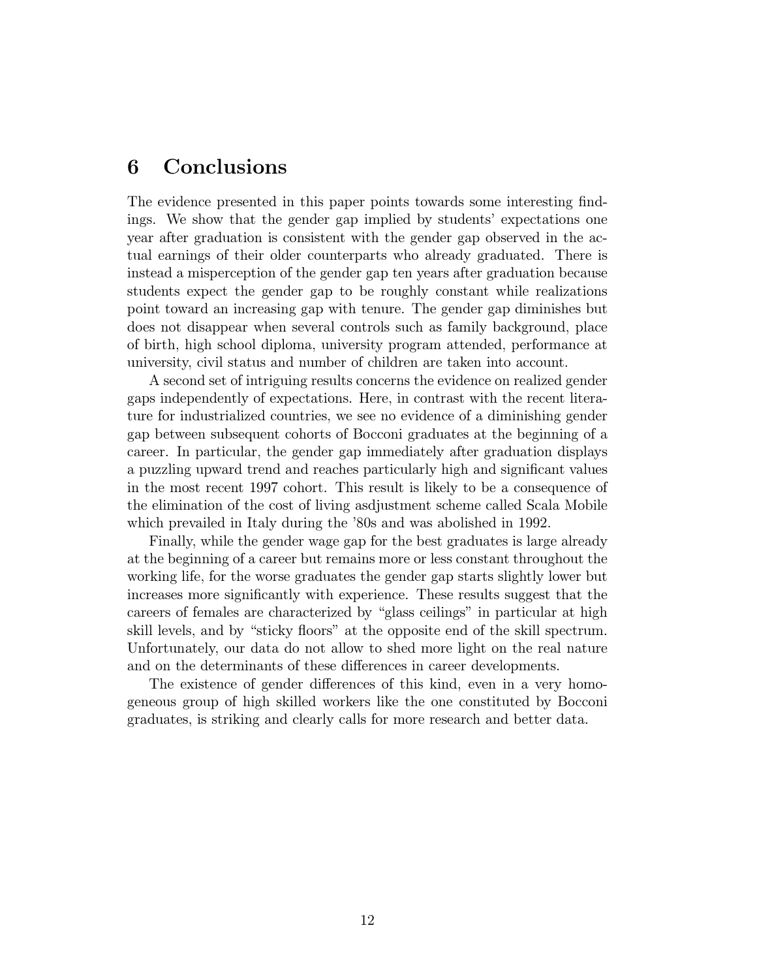#### 6 Conclusions

The evidence presented in this paper points towards some interesting findings. We show that the gender gap implied by students' expectations one year after graduation is consistent with the gender gap observed in the actual earnings of their older counterparts who already graduated. There is instead a misperception of the gender gap ten years after graduation because students expect the gender gap to be roughly constant while realizations point toward an increasing gap with tenure. The gender gap diminishes but does not disappear when several controls such as family background, place of birth, high school diploma, university program attended, performance at university, civil status and number of children are taken into account.

A second set of intriguing results concerns the evidence on realized gender gaps independently of expectations. Here, in contrast with the recent literature for industrialized countries, we see no evidence of a diminishing gender gap between subsequent cohorts of Bocconi graduates at the beginning of a career. In particular, the gender gap immediately after graduation displays a puzzling upward trend and reaches particularly high and significant values in the most recent 1997 cohort. This result is likely to be a consequence of the elimination of the cost of living ass discussed the called Scala Mobile which prevailed in Italy during the '80s and was abolished in 1992.

Finally, while the gender wage gap for the best graduates is large already at the beginning of a career but remains more or less constant throughout the working life, for the worse graduates the gender gap starts slightly lower but increases more significantly with experience. These results suggest that the careers of females are characterized by "glass ceilings" in particular at high skill levels, and by "sticky floors" at the opposite end of the skill spectrum. Unfortunately, our data do not allow to shed more light on the real nature and on the determinants of these differences in career developments.

The existence of gender differences of this kind, even in a very homogeneous group of high skilled workers like the one constituted by Bocconi graduates, is striking and clearly calls for more research and better data.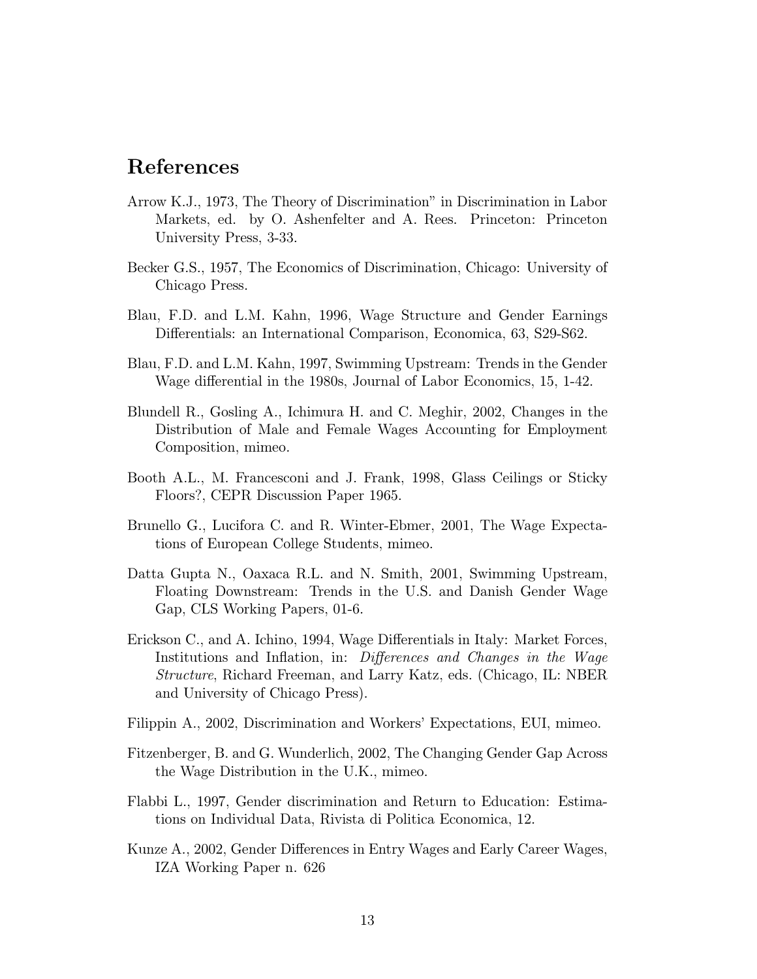## References

- Arrow K.J., 1973, The Theory of Discrimination" in Discrimination in Labor Markets, ed. by O. Ashenfelter and A. Rees. Princeton: Princeton University Press, 3-33.
- Becker G.S., 1957, The Economics of Discrimination, Chicago: University of Chicago Press.
- Blau, F.D. and L.M. Kahn, 1996, Wage Structure and Gender Earnings Differentials: an International Comparison, Economica, 63, S29-S62.
- Blau, F.D. and L.M. Kahn, 1997, Swimming Upstream: Trends in the Gender Wage differential in the 1980s, Journal of Labor Economics, 15, 1-42.
- Blundell R., Gosling A., Ichimura H. and C. Meghir, 2002, Changes in the Distribution of Male and Female Wages Accounting for Employment Composition, mimeo.
- Booth A.L., M. Francesconi and J. Frank, 1998, Glass Ceilings or Sticky Floors?, CEPR Discussion Paper 1965.
- Brunello G., Lucifora C. and R. Winter-Ebmer, 2001, The Wage Expectations of European College Students, mimeo.
- Datta Gupta N., Oaxaca R.L. and N. Smith, 2001, Swimming Upstream, Floating Downstream: Trends in the U.S. and Danish Gender Wage Gap, CLS Working Papers, 01-6.
- Erickson C., and A. Ichino, 1994, Wage Differentials in Italy: Market Forces, Institutions and Inflation, in: Differences and Changes in the Wage *Structure*, Richard Freeman, and Larry Katz, eds. (Chicago, IL: NBER and University of Chicago Press).
- Filippin A., 2002, Discrimination and Workers' Expectations, EUI, mimeo.
- Fitzenberger, B. and G. Wunderlich, 2002, The Changing Gender Gap Across the Wage Distribution in the U.K., mimeo.
- Flabbi L., 1997, Gender discrimination and Return to Education: Estimations on Individual Data, Rivista di Politica Economica, 12.
- Kunze A., 2002, Gender Differences in Entry Wages and Early Career Wages, IZA Working Paper n. 626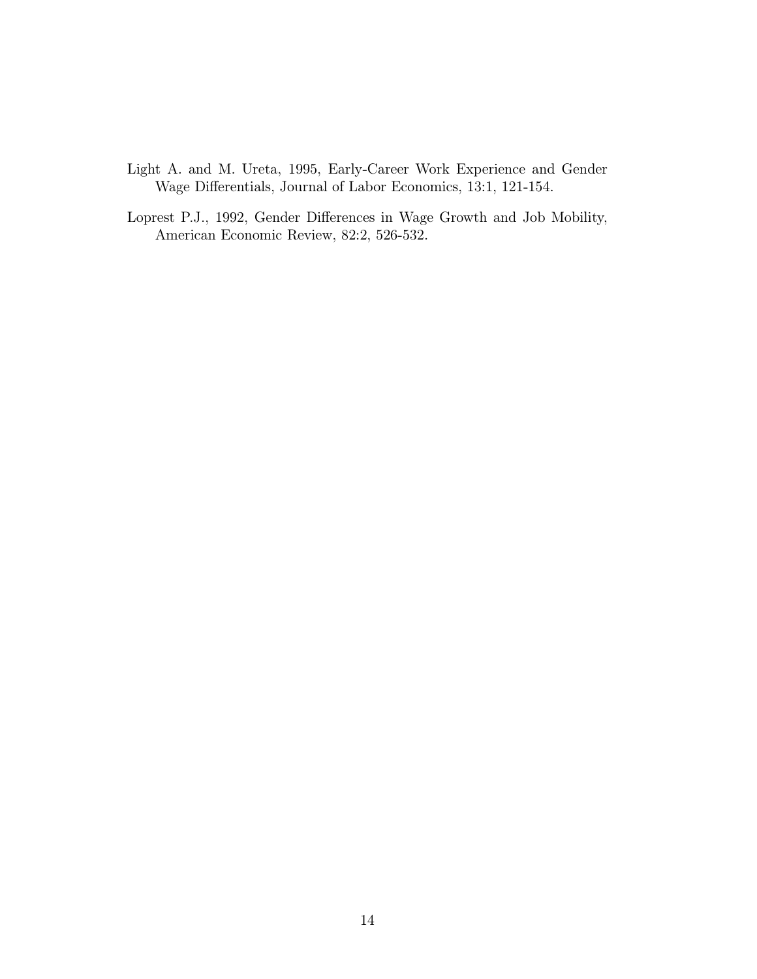- Light A. and M. Ureta, 1995, Early-Career Work Experience and Gender Wage Differentials, Journal of Labor Economics, 13:1, 121-154.
- Loprest P.J., 1992, Gender Differences in Wage Growth and Job Mobility, American Economic Review, 82:2, 526-532.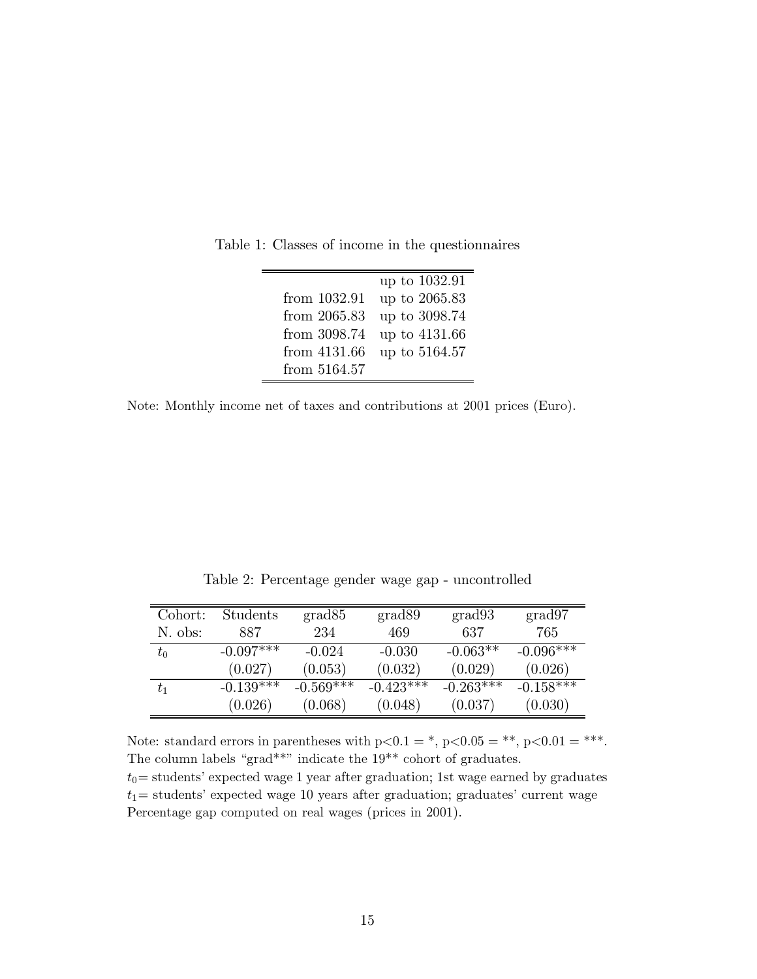|              | up to 1032.91 |
|--------------|---------------|
| from 1032.91 | up to 2065.83 |
| from 2065.83 | up to 3098.74 |
| from 3098.74 | up to 4131.66 |
| from 4131.66 | up to 5164.57 |
| from 5164.57 |               |

Table 1: Classes of income in the questionnaires

Note: Monthly income net of taxes and contributions at 2001 prices (Euro).

| Cohort:     | Students    | grad85       | grad89      | grad93      | grad97      |
|-------------|-------------|--------------|-------------|-------------|-------------|
| N. obs:     | 887         | 234          | 469         | 637         | 765         |
| $t_{\rm 0}$ | $-0.097***$ | $-0.024$     | $-0.030$    | $-0.063**$  | $-0.096***$ |
|             | (0.027)     | (0.053)      | (0.032)     | (0.029)     | (0.026)     |
| $t_{1}$     | $-0.139***$ | $-0.569$ *** | $-0.423***$ | $-0.263***$ | $-0.158***$ |
|             | (0.026)     | (0.068)      | (0.048)     | (0.037)     | (0.030)     |

Table 2: Percentage gender wage gap - uncontrolled

Note: standard errors in parentheses with  $p<0.1 =$ ,  $p<0.05 =$ \*\*,  $p<0.01 =$ \*\*\*. The column labels "grad\*\*" indicate the  $19^{**}$  cohort of graduates.

 $t_0$  = students' expected wage 1 year after graduation; 1st wage earned by graduates  $t_1$  = students' expected wage 10 years after graduation; graduates' current wage Percentage gap computed on real wages (prices in 2001).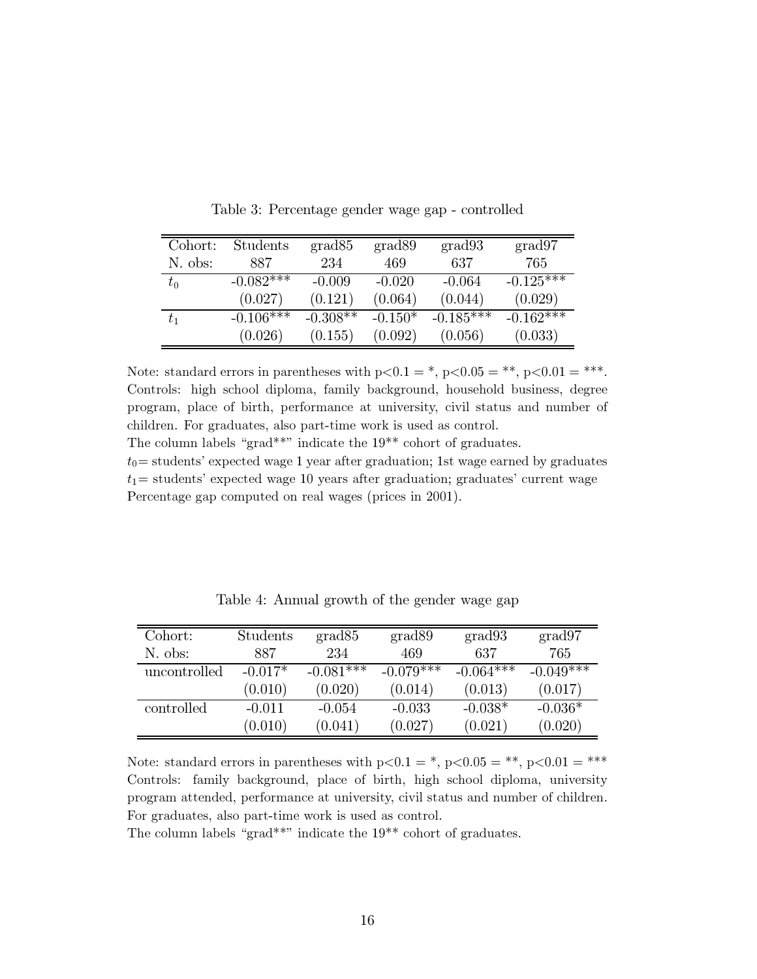| Cohort:     | Students    | grad85     | grad89    | grad93      | grad97      |
|-------------|-------------|------------|-----------|-------------|-------------|
| N. obs:     | 887         | 234        | 469       | 637         | 765         |
| $t_{\rm 0}$ | $-0.082***$ | $-0.009$   | $-0.020$  | $-0.064$    | $-0.125***$ |
|             | (0.027)     | (0.121)    | (0.064)   | (0.044)     | (0.029)     |
| $t_1$       | $-0.106***$ | $-0.308**$ | $-0.150*$ | $-0.185***$ | $-0.162***$ |
|             | (0.026)     | (0.155)    | (0.092)   | (0.056)     | (0.033)     |

Table 3: Percentage gender wage gap - controlled

Note: standard errors in parentheses with  $p<0.1 =$ ,  $p<0.05 =$ \*\*,  $p<0.01 =$ \*\*\*. Controls: high school diploma, family background, household business, degree program, place of birth, performance at university, civil status and number of children. For graduates, also part-time work is used as control.

The column labels "grad\*\*" indicate the  $19**$  cohort of graduates.

 $t_0$  = students' expected wage 1 year after graduation; 1st wage earned by graduates  $t_1$  = students' expected wage 10 years after graduation; graduates' current wage Percentage gap computed on real wages (prices in 2001).

| Cohort:      | Students  | grad85      | grad89      | grad93      | grad97      |
|--------------|-----------|-------------|-------------|-------------|-------------|
| N. obs:      | 887       | 234         | 469         | 637         | 765         |
| uncontrolled | $-0.017*$ | $-0.081***$ | $-0.079***$ | $-0.064***$ | $-0.049***$ |
|              | (0.010)   | (0.020)     | (0.014)     | (0.013)     | (0.017)     |
| controlled   | $-0.011$  | $-0.054$    | $-0.033$    | $-0.038*$   | $-0.036*$   |
|              | (0.010)   | (0.041)     | (0.027)     | (0.021)     | (0.020)     |

Table 4: Annual growth of the gender wage gap

Note: standard errors in parentheses with  $p<0.1 =$ \*,  $p<0.05 =$ \*\*,  $p<0.01 =$ \*\*\* Controls: family background, place of birth, high school diploma, university program attended, performance at university, civil status and number of children. For graduates, also part-time work is used as control.

The column labels "grad\*\*" indicate the  $19**$  cohort of graduates.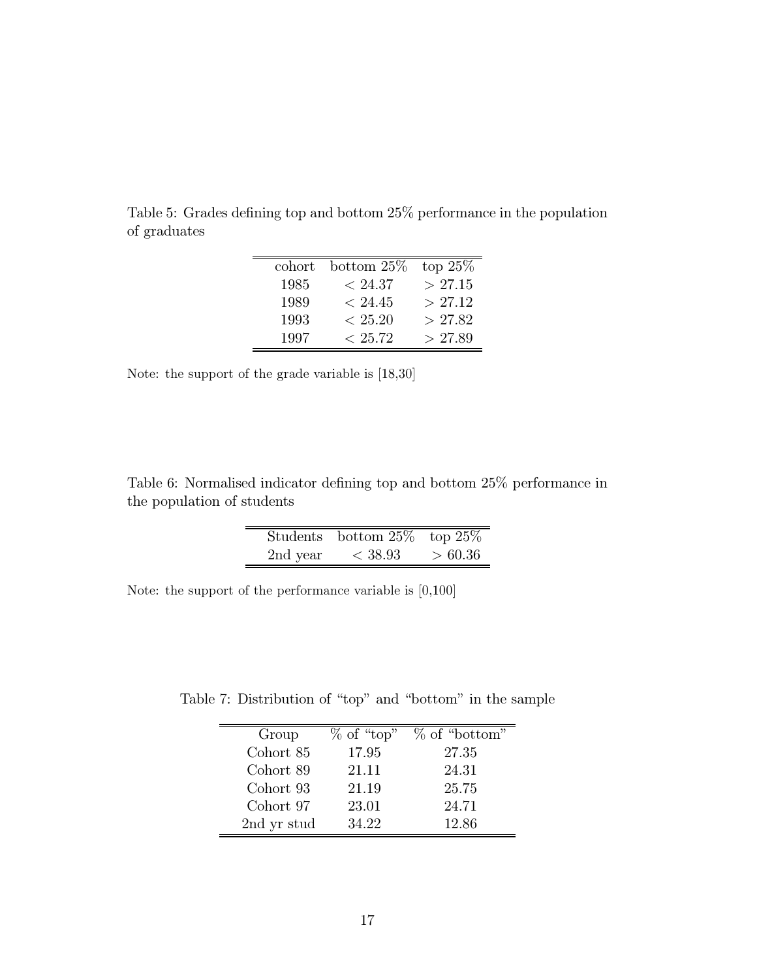| cohort | bottom $25\%$ | top $25\%$ |
|--------|---------------|------------|
| 1985   | ~< 24.37      | >27.15     |
| 1989   | ~< 24.45      | > 27.12    |
| 1993   | < 25.20       | >27.82     |
| 1997   | < 25.72       | > 27.89    |

Table 5: Grades defining top and bottom 25% performance in the population of graduates

Note: the support of the grade variable is  $[18,30]$ 

 $\equiv$ 

Table 6: Normalised indicator defining top and bottom 25% performance in the population of students

|          | Students bottom $25\%$ top $25\%$ |         |
|----------|-----------------------------------|---------|
| 2nd year | < 38.93                           | > 60.36 |

Note: the support of the performance variable is  $[0,100]$ 

Table 7: Distribution of "top" and "bottom" in the sample

| Group       | $%$ of "top" | $%$ of "bottom" |
|-------------|--------------|-----------------|
| Cohort 85   | 17.95        | 27.35           |
| Cohort 89   | 21.11        | 24.31           |
| Cohort 93   | 21.19        | 25.75           |
| Cohort 97   | 23.01        | 24.71           |
| 2nd yr stud | 34.22        | 12.86           |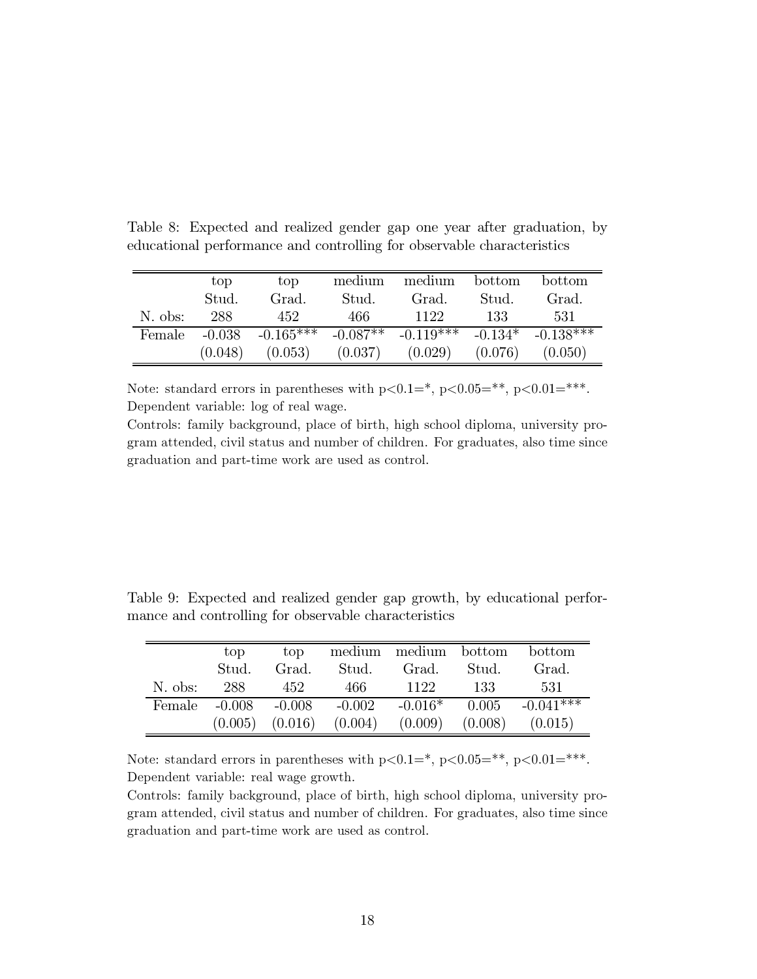|         | top      | top         | medium  | medium                 | bottom  | bottom              |
|---------|----------|-------------|---------|------------------------|---------|---------------------|
|         | Stud.    | Grad.       | Stud.   | Grad.                  | Stud.   | Grad.               |
| N. obs: | 288      | 452         | 466     | 1122                   | 133     | 531                 |
| Female  | $-0.038$ | $-0.165***$ |         | $-0.087**$ $-0.119***$ |         | $-0.134* -0.138***$ |
|         | (0.048)  | (0.053)     | (0.037) | (0.029)                | (0.076) | (0.050)             |

Table 8: Expected and realized gender gap one year after graduation, by educational performance and controlling for observable characteristics

Note: standard errors in parentheses with  $p<0.1$ =\*,  $p<0.05$ =\*\*,  $p<0.01$ =\*\*\*. Dependent variable: log of real wage.

Controls: family background, place of birth, high school diploma, university program attended, civil status and number of children. For graduates, also time since graduation and part-time work are used as control.

|  |                                                      |  |  | Table 9: Expected and realized gender gap growth, by educational perfor- |  |
|--|------------------------------------------------------|--|--|--------------------------------------------------------------------------|--|
|  | mance and controlling for observable characteristics |  |  |                                                                          |  |

|         | top     | top                        |                  | medium medium bottom bottom |         |                             |
|---------|---------|----------------------------|------------------|-----------------------------|---------|-----------------------------|
|         | Stud.   | Grad.                      | $\mathrm{Stud}.$ | Grad.                       | Stud.   | Grad.                       |
| N. obs: | 288     | - 452                      | 466-             | 1122                        | 133     | 531                         |
| Female  |         | $-0.008$ $-0.008$ $-0.002$ |                  |                             |         | $-0.016*$ 0.005 $-0.041***$ |
|         | (0.005) | (0.016)                    | (0.004)          | (0.009)                     | (0.008) | (0.015)                     |

Note: standard errors in parentheses with  $p<0.1$ =\*,  $p<0.05$ =\*\*,  $p<0.01$ =\*\*\*. Dependent variable: real wage growth.

Controls: family background, place of birth, high school diploma, university program attended, civil status and number of children. For graduates, also time since graduation and part-time work are used as control.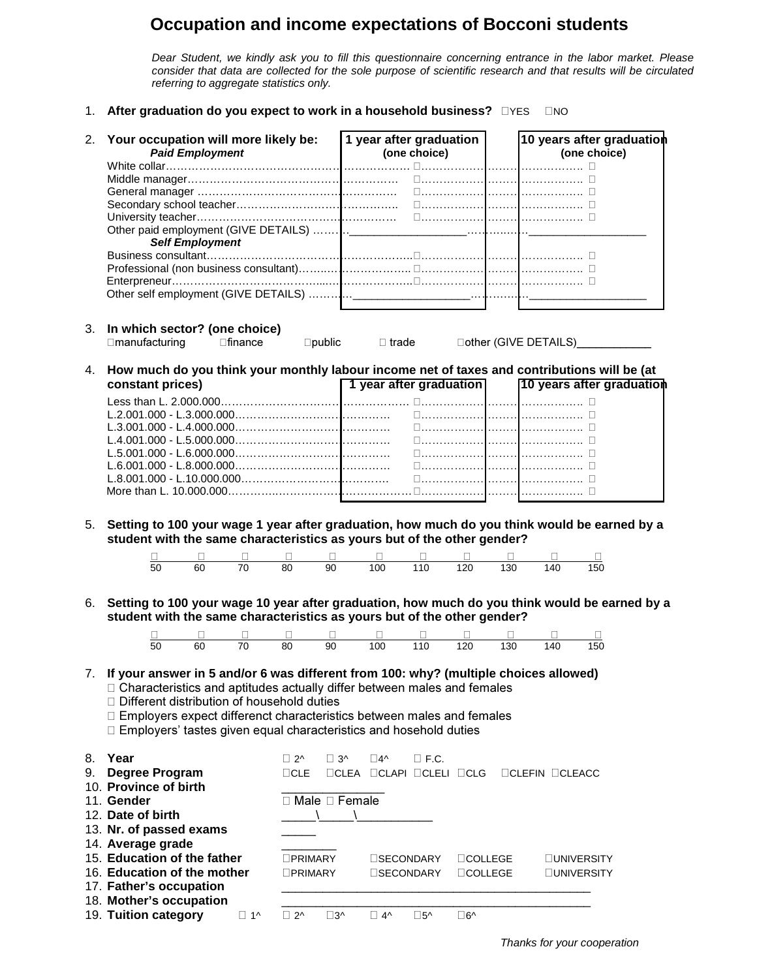## **Occupation and income expectations of Bocconi students**

Dear Student, we kindly ask you to fill this questionnaire concerning entrance in the labor market. Please consider that data are collected for the sole purpose of scientific research and that results will be circulated referring to aggregate statistics only.

1. After graduation do you expect to work in a household business? **DYES** DNO

|    | 2. Your occupation will more likely be:<br><b>Paid Employment</b><br><b>Self Employment</b>                                                                                                                                                                                                                                                                                 |                                    |                                                                                        | 1 year after graduation                                          | (one choice)                       |                                 |            | □……………………………………… □ | 10 years after graduation<br>(one choice) |
|----|-----------------------------------------------------------------------------------------------------------------------------------------------------------------------------------------------------------------------------------------------------------------------------------------------------------------------------------------------------------------------------|------------------------------------|----------------------------------------------------------------------------------------|------------------------------------------------------------------|------------------------------------|---------------------------------|------------|--------------------|-------------------------------------------|
| 3. | In which sector? (one choice)<br>$\Box$ manufacturing                                                                                                                                                                                                                                                                                                                       | $\square$ finance                  |                                                                                        | $\square$ public $\square$ trade                                 |                                    |                                 |            |                    | Dother (GIVE DETAILS)_____________        |
| 4. | How much do you think your monthly labour income net of taxes and contributions will be (at<br>constant prices)<br>$L.6.001.000 - L.8.000.000 \ldots \ldots \ldots \ldots \ldots \ldots \ldots \ldots \ldots$                                                                                                                                                               |                                    |                                                                                        | 1 year after graduation                                          |                                    |                                 |            | □……………………………………… □ | 10 years after graduation                 |
| 5. | Setting to 100 your wage 1 year after graduation, how much do you think would be earned by a<br>student with the same characteristics as yours but of the other gender?                                                                                                                                                                                                     |                                    |                                                                                        |                                                                  |                                    |                                 |            |                    |                                           |
| 6. | 60<br>50<br>Setting to 100 your wage 10 year after graduation, how much do you think would be earned by a<br>student with the same characteristics as yours but of the other gender?<br>$\overline{50}$<br>60                                                                                                                                                               | $\overline{70}$<br>$\overline{70}$ | 80 <sup>2</sup><br>90<br>Ц<br>90<br>$\overline{80}$                                    | 100<br>$\Box$<br>100                                             | 110<br>110                         | 120<br>120                      | 130<br>130 | 140<br>140         | 150<br>150                                |
|    | 7. If your answer in 5 and/or 6 was different from 100: why? (multiple choices allowed)<br>□ Characteristics and aptitudes actually differ between males and females<br>$\Box$ Different distribution of household duties<br>□ Employers expect differenct characteristics between males and females<br>□ Employers' tastes given equal characteristics and hosehold duties |                                    |                                                                                        |                                                                  |                                    |                                 |            |                    |                                           |
| 8. | Year<br>9. Degree Program<br>10. Province of birth<br>11. Gender<br>12. Date of birth<br>13. Nr. of passed exams<br>14. Average grade<br>15. Education of the father                                                                                                                                                                                                        |                                    | $\Box$ 2^<br>$\Box$ 3^<br>$\sqcap$ CLE<br>$\Box$ Male $\Box$ Female<br><b>OPRIMARY</b> | $\square$ 4^<br>$\Box$ CLEA $\Box$ CLAPI $\Box$ CLELI $\Box$ CLG | $\square$ F.C.<br><b>SECONDARY</b> | <b>OCOLLEGE</b>                 |            | $CLEFIN$ $CLEACC$  | <b>UNIVERSITY</b>                         |
|    | 16. Education of the mother<br>17. Father's occupation<br>18. Mother's occupation<br>19. Tuition category                                                                                                                                                                                                                                                                   | $\Box$ 1^                          | <b>OPRIMARY</b><br>$\Box$ 2^<br>$\square$ 3^                                           | $\Box$ 4^                                                        | <b>SECONDARY</b><br>$\square$ 5^   | <b>OCOLLEGE</b><br>$\square$ 6^ |            |                    | ⊔UNIVERSITY                               |

Thanks for your cooperation